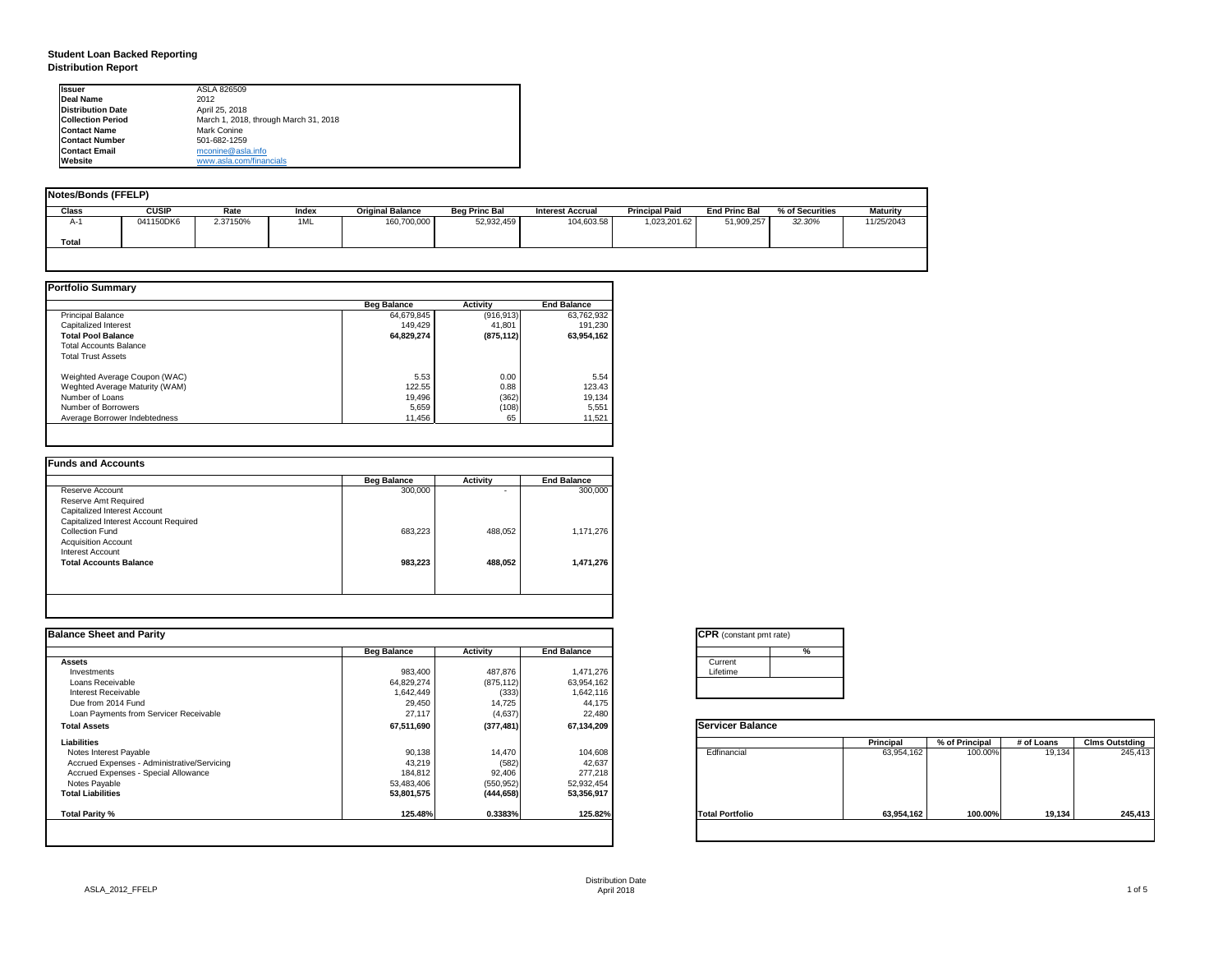# **Student Loan Backed Reporting Distribution Report**

| Notes/Bonds (FFELP) |              |          |       |                         |                      |                         |                       |                      |                 |                 |
|---------------------|--------------|----------|-------|-------------------------|----------------------|-------------------------|-----------------------|----------------------|-----------------|-----------------|
| <b>Class</b>        | <b>CUSIP</b> | Rate     | Index | <b>Original Balance</b> | <b>Beg Princ Bal</b> | <b>Interest Accrual</b> | <b>Principal Paid</b> | <b>End Princ Bal</b> | % of Securities | <b>Maturity</b> |
| A-1                 | 041150DK6    | 2.37150% | 1ML   | 160,700,000             | 52,932,459           | 104,603.58              | 1,023,201.62          | 51,909,257           | 32.30%          | 11/25/2043      |
| <b>Total</b>        |              |          |       |                         |                      |                         |                       |                      |                 |                 |
|                     |              |          |       |                         |                      |                         |                       |                      |                 |                 |

|                                | <b>Beg Balance</b> | <b>Activity</b> | <b>End Balance</b> |
|--------------------------------|--------------------|-----------------|--------------------|
| <b>Principal Balance</b>       | 64,679,845         | (916, 913)      | 63,762,932         |
| <b>Capitalized Interest</b>    | 149,429            | 41,801          | 191,230            |
| <b>Total Pool Balance</b>      | 64,829,274         | (875, 112)      | 63,954,162         |
| <b>Total Accounts Balance</b>  |                    |                 |                    |
| <b>Total Trust Assets</b>      |                    |                 |                    |
| Weighted Average Coupon (WAC)  | 5.53               | 0.00            | 5.54               |
| Weghted Average Maturity (WAM) | 122.55             | 0.88            | 123.43             |
| Number of Loans                | 19,496             | (362)           | 19,134             |
| Number of Borrowers            | 5,659              | (108)           | 5,551              |
| Average Borrower Indebtedness  | 11,456             | 65              | 11,521             |

|                                       | <b>Beg Balance</b> | <b>Activity</b> | <b>End Balance</b> |
|---------------------------------------|--------------------|-----------------|--------------------|
| Reserve Account                       | 300,000            | ۰               | 300,000            |
| Reserve Amt Required                  |                    |                 |                    |
| <b>Capitalized Interest Account</b>   |                    |                 |                    |
| Capitalized Interest Account Required |                    |                 |                    |
| <b>Collection Fund</b>                | 683,223            | 488,052         | 1,171,276          |
| <b>Acquisition Account</b>            |                    |                 |                    |
| <b>Interest Account</b>               |                    |                 |                    |
| <b>Total Accounts Balance</b>         | 983,223            | 488,052         | 1,471,276          |
|                                       |                    |                 |                    |

| <b>Ilssuer</b>           | ASLA 826509                           |
|--------------------------|---------------------------------------|
| <b>IDeal Name</b>        | 2012                                  |
| <b>Distribution Date</b> | April 25, 2018                        |
| <b>Collection Period</b> | March 1, 2018, through March 31, 2018 |
| <b>IContact Name</b>     | Mark Conine                           |
| <b>IContact Number</b>   | 501-682-1259                          |
| <b>Contact Email</b>     | mconine@asla.info                     |
| <b>IWebsite</b>          | www.asla.com/financials               |

| <b>Balance Sheet and Parity</b>             |                    |                 |                    | <b>CPR</b> (constant pmt rate) |   |                  |                |            |                       |
|---------------------------------------------|--------------------|-----------------|--------------------|--------------------------------|---|------------------|----------------|------------|-----------------------|
|                                             | <b>Beg Balance</b> | <b>Activity</b> | <b>End Balance</b> |                                | % |                  |                |            |                       |
| Assets                                      |                    |                 |                    | Current                        |   |                  |                |            |                       |
| Investments                                 | 983,400            | 487,876         | 1,471,276          | Lifetime                       |   |                  |                |            |                       |
| Loans Receivable                            | 64,829,274         | (875, 112)      | 63,954,162         |                                |   |                  |                |            |                       |
| Interest Receivable                         | 1,642,449          | (333)           | 1,642,116          |                                |   |                  |                |            |                       |
| Due from 2014 Fund                          | 29,450             | 14,725          | 44,175             |                                |   |                  |                |            |                       |
| Loan Payments from Servicer Receivable      | 27,117             | (4,637)         | 22,480             |                                |   |                  |                |            |                       |
| <b>Total Assets</b>                         | 67,511,690         | (377, 481)      | 67,134,209         | <b>Servicer Balance</b>        |   |                  |                |            |                       |
| <b>Liabilities</b>                          |                    |                 |                    |                                |   | <b>Principal</b> | % of Principal | # of Loans | <b>Clms Outstding</b> |
| Notes Interest Payable                      | 90,138             | 14,470          | 104,608            | Edfinancial                    |   | 63,954,162       | 100.00%        | 19,134     | 245,413               |
| Accrued Expenses - Administrative/Servicing | 43,219             | (582)           | 42,637             |                                |   |                  |                |            |                       |
| <b>Accrued Expenses - Special Allowance</b> | 184,812            | 92,406          | 277,218            |                                |   |                  |                |            |                       |
| Notes Payable                               | 53,483,406         | (550, 952)      | 52,932,454         |                                |   |                  |                |            |                       |
| <b>Total Liabilities</b>                    | 53,801,575         | (444, 658)      | 53,356,917         |                                |   |                  |                |            |                       |
| Total Parity %                              | 125.48%            | 0.3383%         | 125.82%            | <b>Total Portfolio</b>         |   | 63,954,162       | 100.00%        | 19,134     | 245,413               |
|                                             |                    |                 |                    |                                |   |                  |                |            |                       |

| tant pmt rate) |  |
|----------------|--|
|                |  |
|                |  |
|                |  |
|                |  |
|                |  |

| <b>Balance</b> |                  |                |            |                       |
|----------------|------------------|----------------|------------|-----------------------|
|                | <b>Principal</b> | % of Principal | # of Loans | <b>Clms Outstding</b> |
| al             | 63,954,162       | 100.00%        | 19,134     | 245,413               |
| olio           | 63,954,162       | 100.00%        | 19,134     | 245,413               |
|                |                  |                |            |                       |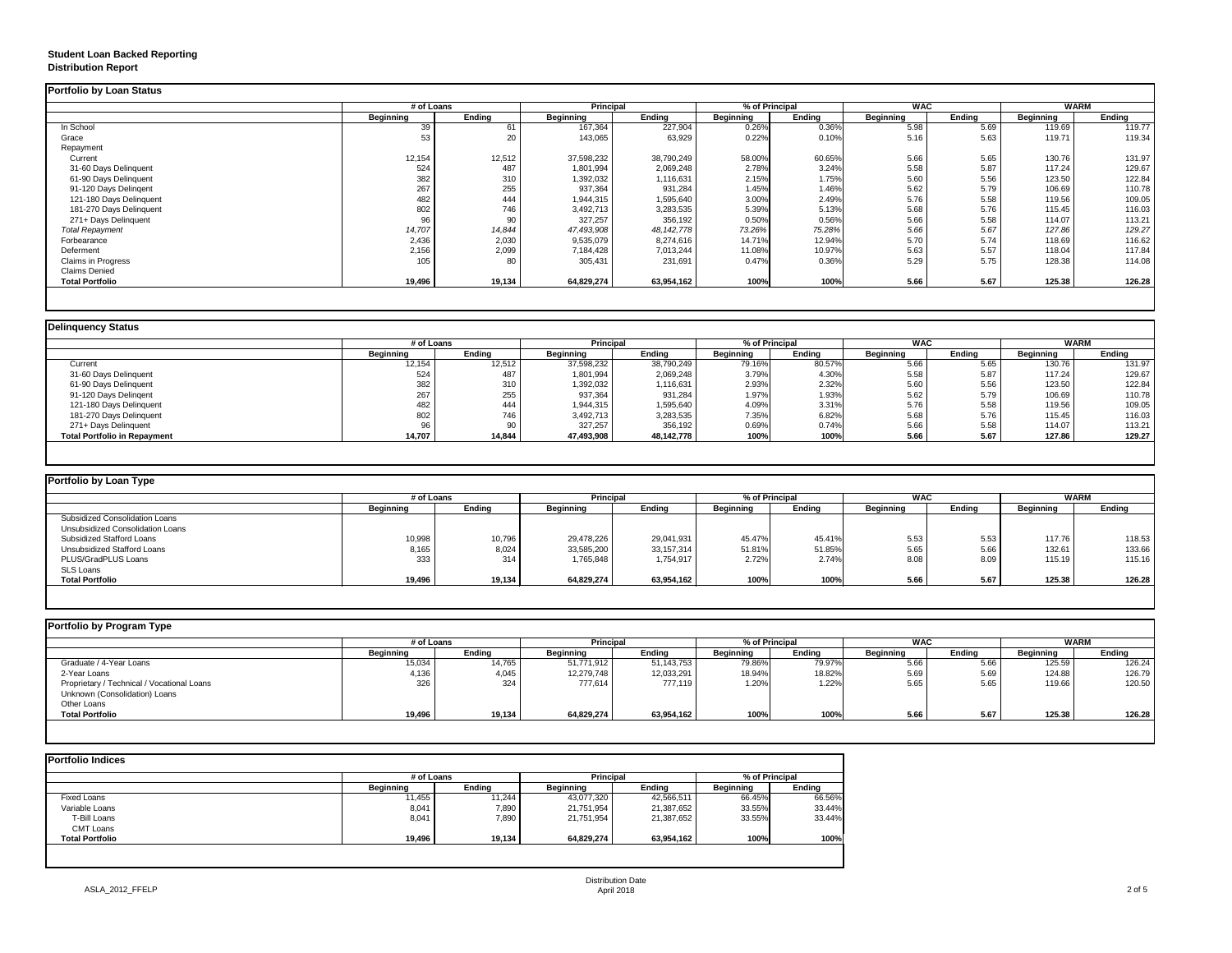## **Student Loan Backed Reporting Distribution Report**

|                           | # of Loans       |               |                  | <b>Principal</b> |                  | % of Principal | <b>WAC</b>       |               | <b>WARM</b>      |               |
|---------------------------|------------------|---------------|------------------|------------------|------------------|----------------|------------------|---------------|------------------|---------------|
|                           | <b>Beginning</b> | <b>Ending</b> | <b>Beginning</b> | <b>Ending</b>    | <b>Beginning</b> | <b>Ending</b>  | <b>Beginning</b> | <b>Ending</b> | <b>Beginning</b> | <b>Ending</b> |
| In School                 | 39               | 61            | 167,364          | 227,904          | 0.26%            | 0.36%          | 5.98             | 5.69          | 119.69           | 119.77        |
| Grace                     | 53               | 20            | 143,065          | 63,929           | 0.22%            | 0.10%          | 5.16             | 5.63          | 119.71           | 119.34        |
| Repayment                 |                  |               |                  |                  |                  |                |                  |               |                  |               |
| Current                   | 12,154           | 12,512        | 37,598,232       | 38,790,249       | 58.00%           | 60.65%         | 5.66             | 5.65          | 130.76           | 131.97        |
| 31-60 Days Delinquent     | 524              | 487           | 1,801,994        | 2,069,248        | 2.78%            | 3.24%          | 5.58             | 5.87          | 117.24           | 129.67        |
| 61-90 Days Delinquent     | 382              | 310           | 1,392,032        | 1,116,631        | 2.15%            | 1.75%          | 5.60             | 5.56          | 123.50           | 122.84        |
| 91-120 Days Delingent     | 267              | 255           | 937,364          | 931,284          | 1.45%            | 1.46%          | 5.62             | 5.79          | 106.69           | 110.78        |
| 121-180 Days Delinquent   | 482              | 444           | 1,944,315        | 1,595,640        | 3.00%            | 2.49%          | 5.76             | 5.58          | 119.56           | 109.05        |
| 181-270 Days Delinquent   | 802              | 746           | 3,492,713        | 3,283,535        | 5.39%            | 5.13%          | 5.68             | 5.76          | 115.45           | 116.03        |
| 271+ Days Delinquent      | 96               | 90            | 327,257          | 356,192          | 0.50%            | 0.56%          | 5.66             | 5.58          | 114.07           | 113.21        |
| <b>Total Repayment</b>    | 14,707           | 14,844        | 47,493,908       | 48, 142, 778     | 73.26%           | 75.28%         | 5.66             | 5.67          | 127.86           | 129.27        |
| Forbearance               | 2,436            | 2,030         | 9,535,079        | 8,274,616        | 14.71%           | 12.94%         | 5.70             | 5.74          | 118.69           | 116.62        |
| Deferment                 | 2,156            | 2,099         | 7,184,428        | 7,013,244        | 11.08%           | 10.97%         | 5.63             | 5.57          | 118.04           | 117.84        |
| <b>Claims in Progress</b> | 105              | 80            | 305,431          | 231,691          | 0.47%            | 0.36%          | 5.29             | 5.75          | 128.38           | 114.08        |
| <b>Claims Denied</b>      |                  |               |                  |                  |                  |                |                  |               |                  |               |
| <b>Total Portfolio</b>    | 19,496           | 19,134        | 64,829,274       | 63,954,162       | 100%             | 100%           | 5.66             | 5.67          | 125.38           | 126.28        |

|                                     |                  | # of Loans    |                  | <b>Principal</b> |                  | % of Principal |                  | <b>WAC</b>    |                  | <b>WARM</b>   |  |
|-------------------------------------|------------------|---------------|------------------|------------------|------------------|----------------|------------------|---------------|------------------|---------------|--|
|                                     | <b>Beginning</b> | <b>Ending</b> | <b>Beginning</b> | <b>Ending</b>    | <b>Beginning</b> | <b>Ending</b>  | <b>Beginning</b> | <b>Ending</b> | <b>Beginning</b> | <b>Ending</b> |  |
| Current                             | 12,154           | 12,512        | 37,598,232       | 38,790,249       | 79.16%           | 80.57%         | 5.66             | 5.65          | 130.76           | 131.97        |  |
| 31-60 Days Delinquent               | 524              | 487           | 1,801,994        | 2,069,248        | 3.79%            | 4.30%          | 5.58             | 5.87          | 117.24           | 129.67        |  |
| 61-90 Days Delinquent               | 382              | 310           | 1,392,032        | 1,116,631        | 2.93%            | 2.32%          | 5.60             | 5.56          | 123.50           | 122.84        |  |
| 91-120 Days Delingent               | 267              | 255           | 937,364          | 931,284          | 1.97%            | 1.93%          | 5.62             | 5.79          | 106.69           | 110.78        |  |
| 121-180 Days Delinquent             | 482              | 444           | 1,944,315        | 1,595,640        | 4.09%            | 3.31%          | 5.76             | 5.58          | 119.56           | 109.05        |  |
| 181-270 Days Delinquent             | 802              | 746           | 3,492,713        | 3,283,535        | 7.35%            | 6.82%          | 5.68             | 5.76          | 115.45           | 116.03        |  |
| 271+ Days Delinquent                |                  | 90            | 327,257          | 356,192          | 0.69%            | 0.74%          | 5.66             | 5.58          | 114.07           | 113.21        |  |
| <b>Total Portfolio in Repayment</b> | 14,707           | 14,844        | 47,493,908       | 48,142,778       | 100%             | 100%           | 5.66             | 5.67          | 127.86           | 129.27        |  |

| # of Loans       |               |                  | <b>Principal</b> |                  | % of Principal |                  |        | WARM             |        |
|------------------|---------------|------------------|------------------|------------------|----------------|------------------|--------|------------------|--------|
| <b>Beginning</b> | <b>Ending</b> | <b>Beginning</b> | <b>Ending</b>    | <b>Beginning</b> | Ending         | <b>Beginning</b> | Ending | <b>Beginning</b> | Ending |
|                  |               |                  |                  |                  |                |                  |        |                  |        |
|                  |               |                  |                  |                  |                |                  |        |                  |        |
| 10,998           | 10,796        | 29,478,226       | 29,041,931       | 45.47%           | 45.41%         | 5.53             | 5.53   | 117.76           | 118.53 |
| 8,165            | 8,024         | 33,585,200       | 33,157,314       | 51.81%           | 51.85%         | 5.65             | 5.66   | 132.61           | 133.66 |
| 333              | 314           | 1,765,848        | 1,754,917        | 2.72%            | 2.74%          | 8.08             | 8.09   | 115.19           | 115.16 |
|                  |               |                  |                  |                  |                |                  |        |                  |        |
| 19,496           | 19,134        | 64,829,274       | 63,954,162       | 100%             | 100%           | 5.66             | 5.67   | 125.38           | 126.28 |
|                  |               |                  |                  |                  |                |                  |        | <b>WAC</b>       |        |

|                                            |                  | # of Loans    |                  | <b>Principal</b> |                  | % of Principal |                  | <b>WAC</b>    |                  | <b>WARM</b>   |  |
|--------------------------------------------|------------------|---------------|------------------|------------------|------------------|----------------|------------------|---------------|------------------|---------------|--|
|                                            | <b>Beginning</b> | <b>Ending</b> | <b>Beginning</b> | <b>Ending</b>    | <b>Beginning</b> | <b>Ending</b>  | <b>Beginning</b> | <b>Ending</b> | <b>Beginning</b> | <b>Ending</b> |  |
| Graduate / 4-Year Loans                    | 15,034           | 14,765        | 51,771,912       | 51,143,753       | 79.86%           | 79.97%         | 5.66             | 5.66          | 125.59           | 126.24        |  |
| 2-Year Loans                               | 4,136            | 4,045         | 12,279,748       | 12,033,291       | 18.94%           | 18.82%         | 5.69             | 5.69          | 124.88           | 126.79        |  |
| Proprietary / Technical / Vocational Loans | 326              | 324           | 777,614          | 777,119          | 1.20%            | 1.22%          | 5.65             | 5.65          | 119.66           | 120.50        |  |
| Unknown (Consolidation) Loans              |                  |               |                  |                  |                  |                |                  |               |                  |               |  |
| Other Loans                                |                  |               |                  |                  |                  |                |                  |               |                  |               |  |
| <b>Total Portfolio</b>                     | 19,496           | 19,134        | 64,829,274       | 63,954,162       | 100%             | 100%           | 5.66             | 5.67          | 125.38           | 126.28        |  |

| <b>Portfolio Indices</b> |                  |               |                  |               |                  |               |  |
|--------------------------|------------------|---------------|------------------|---------------|------------------|---------------|--|
|                          | # of Loans       |               | <b>Principal</b> |               | % of Principal   |               |  |
|                          | <b>Beginning</b> | <b>Ending</b> | <b>Beginning</b> | <b>Ending</b> | <b>Beginning</b> | <b>Ending</b> |  |
| <b>Fixed Loans</b>       | 11,455           | 11,244        | 43,077,320       | 42,566,511    | 66.45%           | 66.56%        |  |
| Variable Loans           | 8,041            | 7,890         | 21,751,954       | 21,387,652    | 33.55%           | 33.44%        |  |
| T-Bill Loans             | 8,041            | 7,890         | 21,751,954       | 21,387,652    | 33.55%           | 33.44%        |  |
| <b>CMT Loans</b>         |                  |               |                  |               |                  |               |  |
| <b>Total Portfolio</b>   | 19,496           | 19,134        | 64,829,274       | 63,954,162    | 100%             | 100%          |  |
|                          |                  |               |                  |               |                  |               |  |
|                          |                  |               |                  |               |                  |               |  |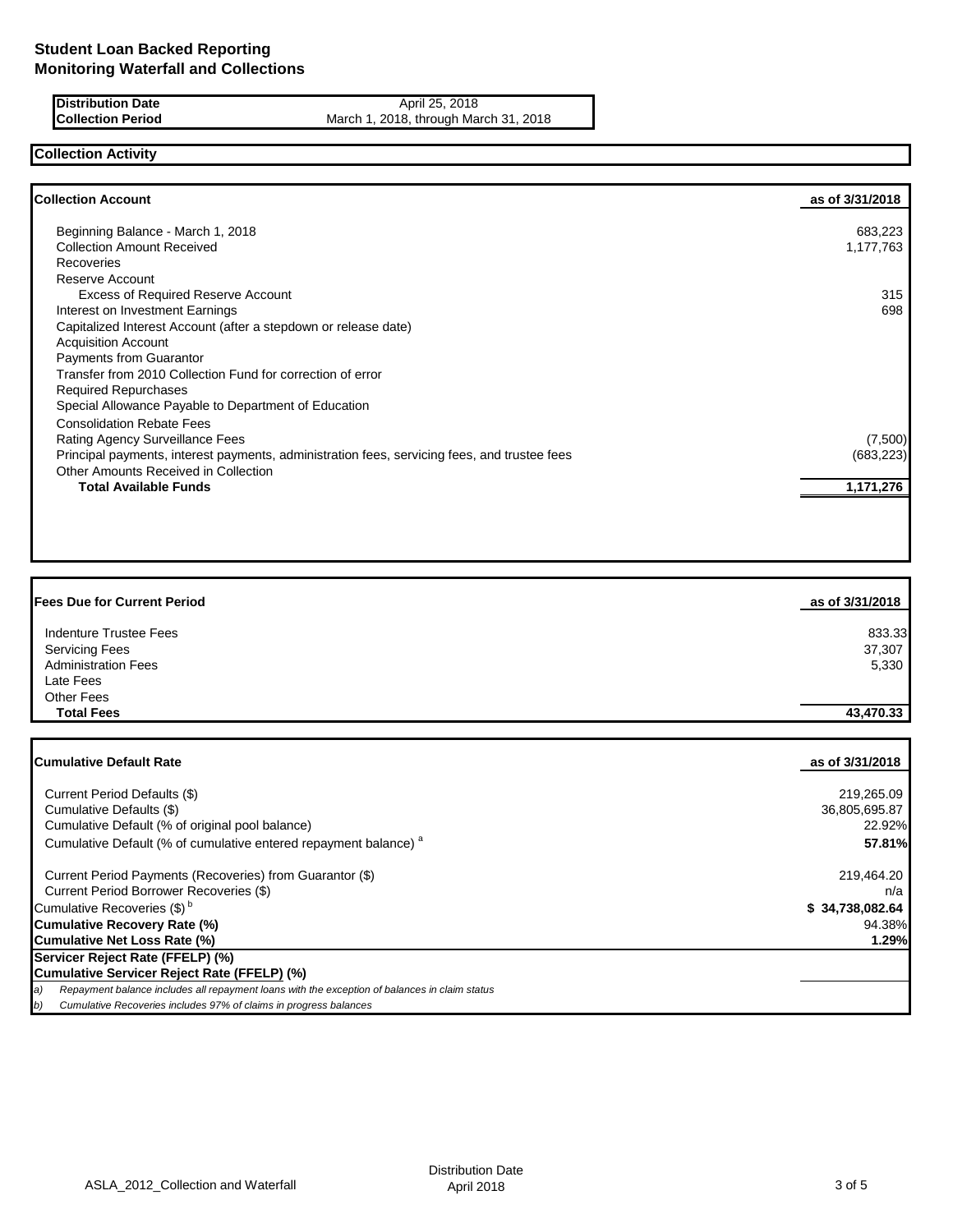**Distribution Date** April 25, 2018<br> **Collection Period** March 1, 2018, through Ma March 1, 2018, through March 31, 2018

## **Collection Activity**

| <b>Collection Account</b>                                                                    | as of 3/31/2018 |
|----------------------------------------------------------------------------------------------|-----------------|
| Beginning Balance - March 1, 2018                                                            | 683,223         |
| <b>Collection Amount Received</b>                                                            | 1,177,763       |
| Recoveries                                                                                   |                 |
| Reserve Account                                                                              |                 |
| <b>Excess of Required Reserve Account</b>                                                    | 315             |
| Interest on Investment Earnings                                                              | 698             |
| Capitalized Interest Account (after a stepdown or release date)                              |                 |
| <b>Acquisition Account</b>                                                                   |                 |
| <b>Payments from Guarantor</b>                                                               |                 |
| Transfer from 2010 Collection Fund for correction of error                                   |                 |
| <b>Required Repurchases</b>                                                                  |                 |
| Special Allowance Payable to Department of Education                                         |                 |
| <b>Consolidation Rebate Fees</b>                                                             |                 |
| Rating Agency Surveillance Fees                                                              | (7,500)         |
| Principal payments, interest payments, administration fees, servicing fees, and trustee fees | (683, 223)      |
| Other Amounts Received in Collection                                                         |                 |
| <b>Total Available Funds</b>                                                                 | 1,171,276       |

| <b>Fees Due for Current Period</b> | as of 3/31/2018 |
|------------------------------------|-----------------|
| <b>Indenture Trustee Fees</b>      | 833.33          |
| <b>Servicing Fees</b>              | 37,307          |
| <b>Administration Fees</b>         | 5,330           |
| Late Fees                          |                 |
| Other Fees                         |                 |
| <b>Total Fees</b>                  | 43,470.33       |
|                                    |                 |

| <b>ICumulative Default Rate</b>                                                                      | as of 3/31/2018 |
|------------------------------------------------------------------------------------------------------|-----------------|
|                                                                                                      |                 |
| Current Period Defaults (\$)                                                                         | 219,265.09      |
| Cumulative Defaults (\$)                                                                             | 36,805,695.87   |
| Cumulative Default (% of original pool balance)                                                      | 22.92%          |
| Cumulative Default (% of cumulative entered repayment balance) <sup>a</sup>                          | 57.81%          |
| Current Period Payments (Recoveries) from Guarantor (\$)                                             | 219,464.20      |
| Current Period Borrower Recoveries (\$)                                                              | n/a             |
| Cumulative Recoveries (\$) <sup>b</sup>                                                              | \$34,738,082.64 |
| Cumulative Recovery Rate (%)                                                                         | 94.38%          |
| Cumulative Net Loss Rate (%)                                                                         | 1.29%           |
| Servicer Reject Rate (FFELP) (%)                                                                     |                 |
| Cumulative Servicer Reject Rate (FFELP) (%)                                                          |                 |
| Repayment balance includes all repayment loans with the exception of balances in claim status<br>(a) |                 |
| Cumulative Recoveries includes 97% of claims in progress balances<br>b)                              |                 |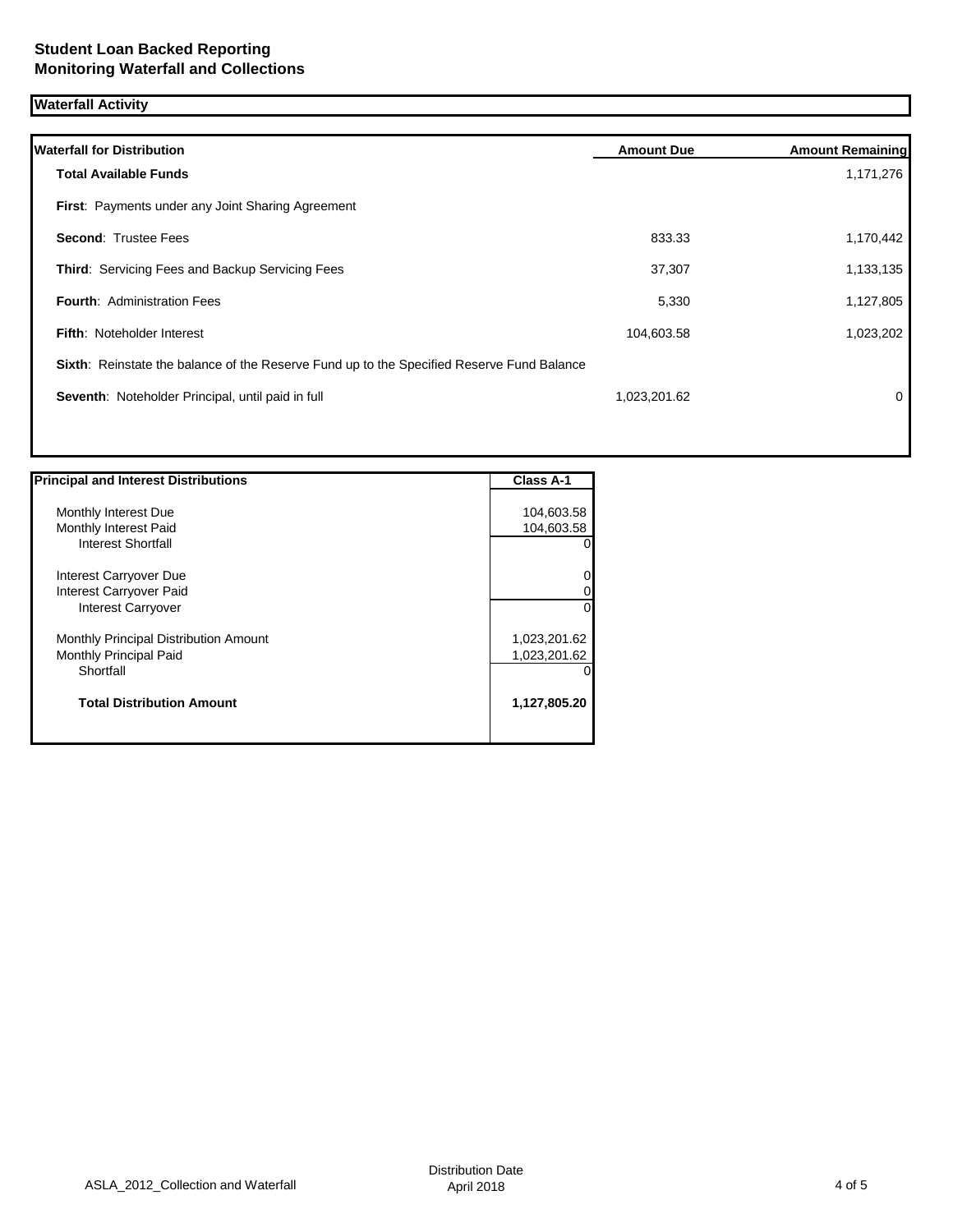## **Waterfall Activity**

| <b>Waterfall for Distribution</b>                                                         | <b>Amount Due</b> | <b>Amount Remaining</b> |
|-------------------------------------------------------------------------------------------|-------------------|-------------------------|
| <b>Total Available Funds</b>                                                              |                   | 1,171,276               |
| First: Payments under any Joint Sharing Agreement                                         |                   |                         |
| <b>Second: Trustee Fees</b>                                                               | 833.33            | 1,170,442               |
| Third: Servicing Fees and Backup Servicing Fees                                           | 37,307            | 1,133,135               |
| <b>Fourth: Administration Fees</b>                                                        | 5,330             | 1,127,805               |
| <b>Fifth: Noteholder Interest</b>                                                         | 104,603.58        | 1,023,202               |
| Sixth: Reinstate the balance of the Reserve Fund up to the Specified Reserve Fund Balance |                   |                         |
| Seventh: Noteholder Principal, until paid in full                                         | 1,023,201.62      | 0                       |
|                                                                                           |                   |                         |

| <b>Principal and Interest Distributions</b>  | <b>Class A-1</b> |
|----------------------------------------------|------------------|
|                                              |                  |
| Monthly Interest Due                         | 104,603.58       |
| Monthly Interest Paid                        | 104,603.58       |
| <b>Interest Shortfall</b>                    | 01               |
| Interest Carryover Due                       | $\overline{0}$   |
| Interest Carryover Paid                      | $\overline{0}$   |
| <b>Interest Carryover</b>                    | $\Omega$         |
| <b>Monthly Principal Distribution Amount</b> | 1,023,201.62     |
| Monthly Principal Paid                       | 1,023,201.62     |
| Shortfall                                    | 0                |
| <b>Total Distribution Amount</b>             | 1,127,805.20     |
|                                              |                  |